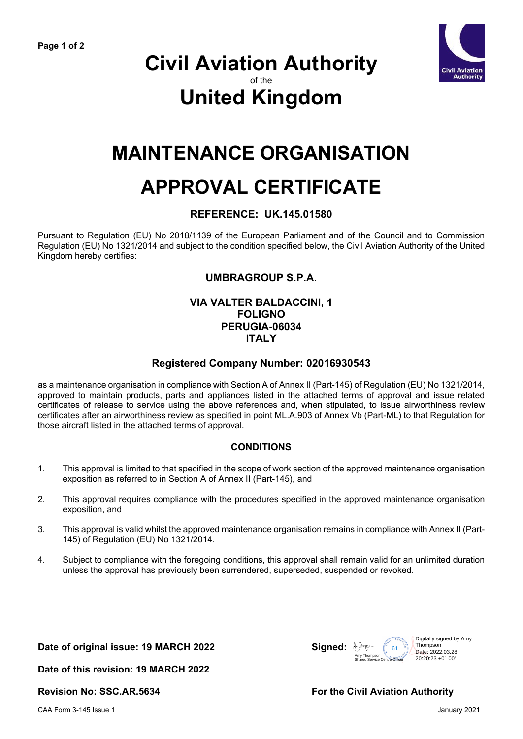

### **Civil Aviation Authority** of the **United Kingdom**

## **MAINTENANCE ORGANISATION**

# **APPROVAL CERTIFICATE**

#### **REFERENCE: UK.145.01580**

Pursuant to Regulation (EU) No 2018/1139 of the European Parliament and of the Council and to Commission Regulation (EU) No 1321/2014 and subject to the condition specified below, the Civil Aviation Authority of the United Kingdom hereby certifies:

#### **UMBRAGROUP S.P.A.**

#### **VIA VALTER BALDACCINI, 1 FOLIGNO PERUGIA-06034 ITALY**

#### **Registered Company Number: 02016930543**

as a maintenance organisation in compliance with Section A of Annex II (Part-145) of Regulation (EU) No 1321/2014, approved to maintain products, parts and appliances listed in the attached terms of approval and issue related certificates of release to service using the above references and, when stipulated, to issue airworthiness review certificates after an airworthiness review as specified in point ML.A.903 of Annex Vb (Part-ML) to that Regulation for those aircraft listed in the attached terms of approval.

#### **CONDITIONS**

- 1. This approval is limited to that specified in the scope of work section of the approved maintenance organisation exposition as referred to in Section A of Annex II (Part-145), and
- 2. This approval requires compliance with the procedures specified in the approved maintenance organisation exposition, and
- 3. This approval is valid whilst the approved maintenance organisation remains in compliance with Annex II (Part-145) of Regulation (EU) No 1321/2014.
- 4. Subject to compliance with the foregoing conditions, this approval shall remain valid for an unlimited duration unless the approval has previously been surrendered, superseded, suspended or revoked.

**Date of original issue: 19 MARCH 2022 Signed:**



**Date of this revision: 19 MARCH 2022**

**Revision No: SSC.AR.5634 For the Civil Aviation Authority**